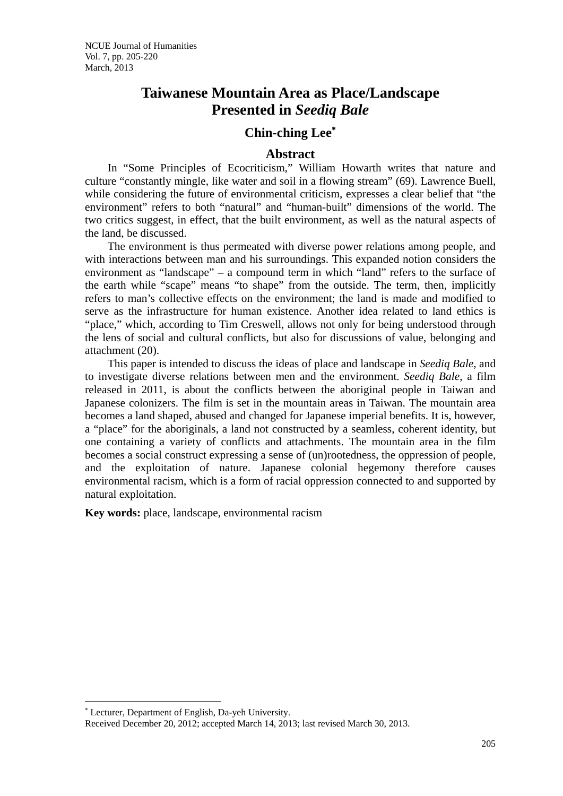# **Taiwanese Mountain Area as Place/Landscape Presented in** *Seediq Bale*

## **Chin-ching Lee**<sup>∗</sup>

### **Abstract**

 In "Some Principles of Ecocriticism," William Howarth writes that nature and culture "constantly mingle, like water and soil in a flowing stream" (69). Lawrence Buell, while considering the future of environmental criticism, expresses a clear belief that "the environment" refers to both "natural" and "human-built" dimensions of the world. The two critics suggest, in effect, that the built environment, as well as the natural aspects of the land, be discussed.

 The environment is thus permeated with diverse power relations among people, and with interactions between man and his surroundings. This expanded notion considers the environment as "landscape" – a compound term in which "land" refers to the surface of the earth while "scape" means "to shape" from the outside. The term, then, implicitly refers to man's collective effects on the environment; the land is made and modified to serve as the infrastructure for human existence. Another idea related to land ethics is "place," which, according to Tim Creswell, allows not only for being understood through the lens of social and cultural conflicts, but also for discussions of value, belonging and attachment (20).

 This paper is intended to discuss the ideas of place and landscape in *Seediq Bale*, and to investigate diverse relations between men and the environment. *Seediq Bale*, a film released in 2011, is about the conflicts between the aboriginal people in Taiwan and Japanese colonizers. The film is set in the mountain areas in Taiwan. The mountain area becomes a land shaped, abused and changed for Japanese imperial benefits. It is, however, a "place" for the aboriginals, a land not constructed by a seamless, coherent identity, but one containing a variety of conflicts and attachments. The mountain area in the film becomes a social construct expressing a sense of (un)rootedness, the oppression of people, and the exploitation of nature. Japanese colonial hegemony therefore causes environmental racism, which is a form of racial oppression connected to and supported by natural exploitation.

**Key words:** place, landscape, environmental racism

 $\overline{a}$ 

<sup>∗</sup> Lecturer, Department of English, Da-yeh University.

Received December 20, 2012; accepted March 14, 2013; last revised March 30, 2013.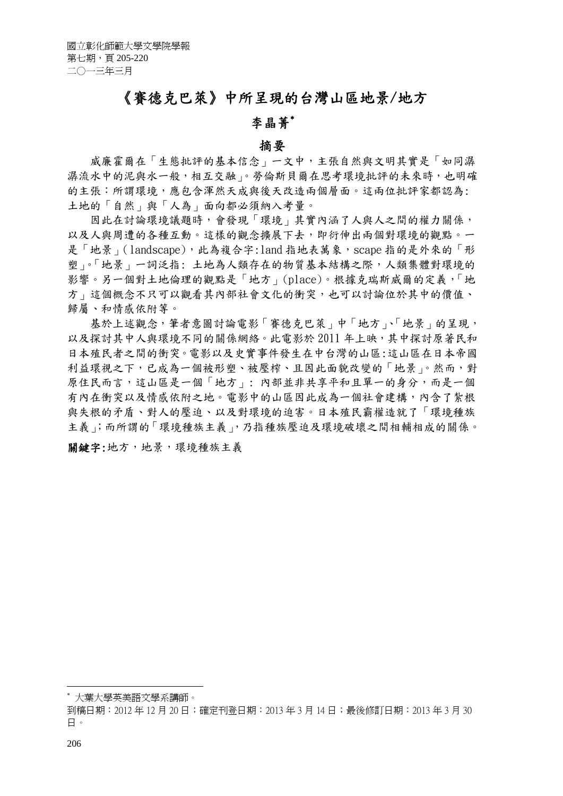# 《賽德克巴萊》中所呈現的台灣山區地景/地方

# 李晶菁<sup>∗</sup>

#### 摘要

威廉霍爾在「生態批評的基本信念」一文中,主張自然與文明其實是「如同潺 漏流水中的泥與水一般,相互交融」。勞倫斯貝爾在思考環境批評的未來時,也明確 的主張:所謂環境,應包含渾然天成與後天改造兩個層面。這兩位批評家都認為: 土地的「自然」與「人為」面向都必須納入考量。

 因此在討論環境議題時,會發現「環境」其實內涵了人與人之間的權力關係, 以及人與周遭的各種互動。這樣的觀念擴展下去,即衍伸出兩個對環境的觀點。一 是「地景」(landscape),此為複合字:land 指地表萬象, scape 指的是外來的「形 塑」。「地景」一詞泛指: 土地為人類存在的物質基本結構之際,人類集體對環境的 影響。另一個對土地倫理的觀點是「地方」(place)。根據克瑞斯威爾的定義,「地 方」這個概念不只可以觀看其內部社會文化的衝突,也可以討論位於其中的價值、 歸屬、和情感依附等。

 基於上述觀念,筆者意圖討論電影「賽德克巴萊」中「地方」、「地景」的呈現, 以及探討其中人與環境不同的關係網絡。此電影於 2011 年上映,其中探討原著民和 日本殖民者之間的衝突。電影以及史實事件發生在中台灣的山區:這山區在日本帝國 利益環視之下,已成為一個被形塑、被壓榨、且因此面貌改變的「地景」。然而,對 原住民而言,這山區是一個「地方」: 內部並非共享平和且單一的身分,而是一個 有內在衝突以及情感依附之地。電影中的山區因此成為一個社會建構,內含了紮根 與失根的矛盾、對人的壓迫、以及對環境的迫害。日本殖民霸權造就了「環境種族 主義」;而所謂的「環境種族主義」,乃指種族壓迫及環境破壞之間相輔相成的關係。

關鍵字:地方,地景,環境種族主義

<u>.</u>

<sup>∗</sup> 大葉大學英美語文學系講師。

到稿日期:2012 年 12 月 20 日;確定刊登日期:2013 年 3 月 14 日;最後修訂日期:2013 年 3 月 30 日。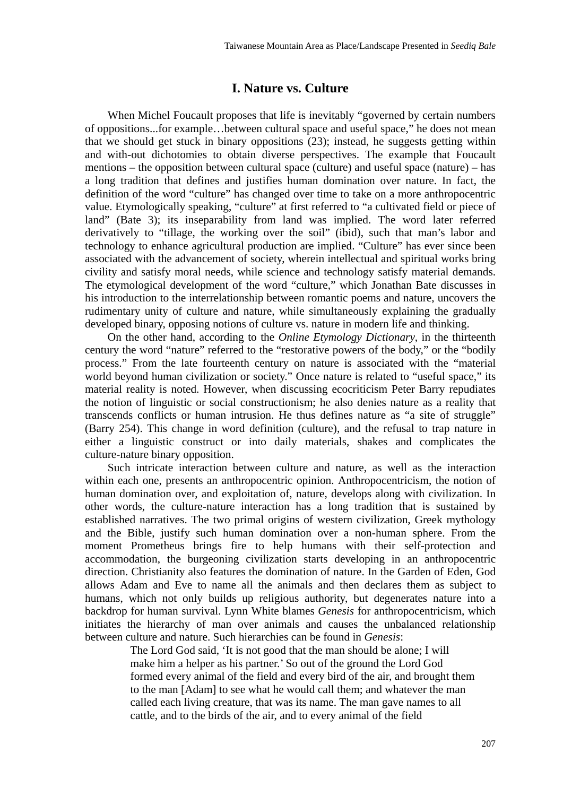### **I. Nature vs. Culture**

 When Michel Foucault proposes that life is inevitably "governed by certain numbers of oppositions...for example…between cultural space and useful space," he does not mean that we should get stuck in binary oppositions (23); instead, he suggests getting within and with-out dichotomies to obtain diverse perspectives. The example that Foucault mentions – the opposition between cultural space (culture) and useful space (nature) – has a long tradition that defines and justifies human domination over nature. In fact, the definition of the word "culture" has changed over time to take on a more anthropocentric value. Etymologically speaking, "culture" at first referred to "a cultivated field or piece of land" (Bate 3); its inseparability from land was implied. The word later referred derivatively to "tillage, the working over the soil" (ibid), such that man's labor and technology to enhance agricultural production are implied. "Culture" has ever since been associated with the advancement of society, wherein intellectual and spiritual works bring civility and satisfy moral needs, while science and technology satisfy material demands. The etymological development of the word "culture," which Jonathan Bate discusses in his introduction to the interrelationship between romantic poems and nature, uncovers the rudimentary unity of culture and nature, while simultaneously explaining the gradually developed binary, opposing notions of culture vs. nature in modern life and thinking.

 On the other hand, according to the *Online Etymology Dictionary*, in the thirteenth century the word "nature" referred to the "restorative powers of the body," or the "bodily process." From the late fourteenth century on nature is associated with the "material world beyond human civilization or society." Once nature is related to "useful space," its material reality is noted. However, when discussing ecocriticism Peter Barry repudiates the notion of linguistic or social constructionism; he also denies nature as a reality that transcends conflicts or human intrusion. He thus defines nature as "a site of struggle" (Barry 254). This change in word definition (culture), and the refusal to trap nature in either a linguistic construct or into daily materials, shakes and complicates the culture-nature binary opposition.

 Such intricate interaction between culture and nature, as well as the interaction within each one, presents an anthropocentric opinion. Anthropocentricism, the notion of human domination over, and exploitation of, nature, develops along with civilization. In other words, the culture-nature interaction has a long tradition that is sustained by established narratives. The two primal origins of western civilization, Greek mythology and the Bible, justify such human domination over a non-human sphere. From the moment Prometheus brings fire to help humans with their self-protection and accommodation, the burgeoning civilization starts developing in an anthropocentric direction. Christianity also features the domination of nature. In the Garden of Eden, God allows Adam and Eve to name all the animals and then declares them as subject to humans, which not only builds up religious authority, but degenerates nature into a backdrop for human survival. Lynn White blames *Genesis* for anthropocentricism, which initiates the hierarchy of man over animals and causes the unbalanced relationship between culture and nature. Such hierarchies can be found in *Genesis*:

> The Lord God said, 'It is not good that the man should be alone; I will make him a helper as his partner.' So out of the ground the Lord God formed every animal of the field and every bird of the air, and brought them to the man [Adam] to see what he would call them; and whatever the man called each living creature, that was its name. The man gave names to all cattle, and to the birds of the air, and to every animal of the field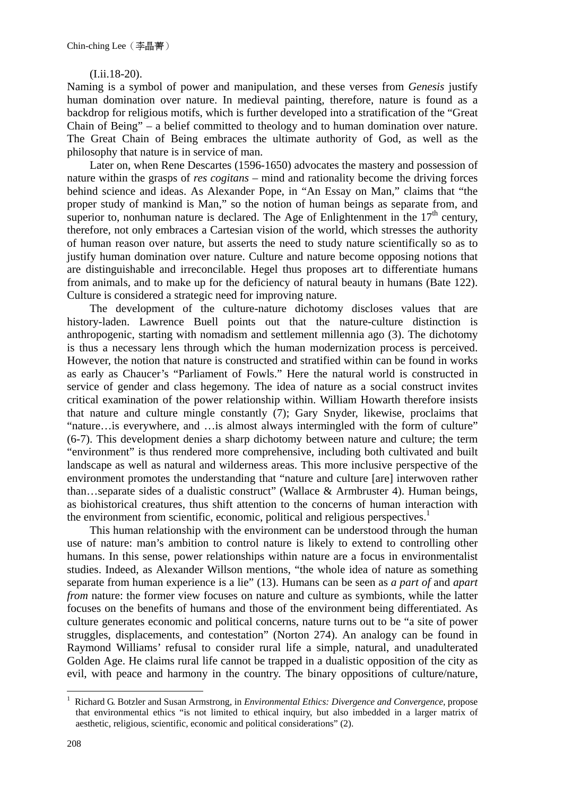#### (I.ii.18-20).

Naming is a symbol of power and manipulation, and these verses from *Genesis* justify human domination over nature. In medieval painting, therefore, nature is found as a backdrop for religious motifs, which is further developed into a stratification of the "Great Chain of Being" – a belief committed to theology and to human domination over nature. The Great Chain of Being embraces the ultimate authority of God, as well as the philosophy that nature is in service of man.

 Later on, when Rene Descartes (1596-1650) advocates the mastery and possession of nature within the grasps of *res cogitans* – mind and rationality become the driving forces behind science and ideas. As Alexander Pope, in "An Essay on Man," claims that "the proper study of mankind is Man," so the notion of human beings as separate from, and superior to, nonhuman nature is declared. The Age of Enlightenment in the  $17<sup>th</sup>$  century, therefore, not only embraces a Cartesian vision of the world, which stresses the authority of human reason over nature, but asserts the need to study nature scientifically so as to justify human domination over nature. Culture and nature become opposing notions that are distinguishable and irreconcilable. Hegel thus proposes art to differentiate humans from animals, and to make up for the deficiency of natural beauty in humans (Bate 122). Culture is considered a strategic need for improving nature.

 The development of the culture-nature dichotomy discloses values that are history-laden. Lawrence Buell points out that the nature-culture distinction is anthropogenic, starting with nomadism and settlement millennia ago (3). The dichotomy is thus a necessary lens through which the human modernization process is perceived. However, the notion that nature is constructed and stratified within can be found in works as early as Chaucer's "Parliament of Fowls." Here the natural world is constructed in service of gender and class hegemony. The idea of nature as a social construct invites critical examination of the power relationship within. William Howarth therefore insists that nature and culture mingle constantly (7); Gary Snyder, likewise, proclaims that "nature…is everywhere, and …is almost always intermingled with the form of culture" (6-7). This development denies a sharp dichotomy between nature and culture; the term "environment" is thus rendered more comprehensive, including both cultivated and built landscape as well as natural and wilderness areas. This more inclusive perspective of the environment promotes the understanding that "nature and culture [are] interwoven rather than…separate sides of a dualistic construct" (Wallace & Armbruster 4). Human beings, as biohistorical creatures, thus shift attention to the concerns of human interaction with the environment from scientific, economic, political and religious perspectives.<sup>1</sup>

 This human relationship with the environment can be understood through the human use of nature: man's ambition to control nature is likely to extend to controlling other humans. In this sense, power relationships within nature are a focus in environmentalist studies. Indeed, as Alexander Willson mentions, "the whole idea of nature as something separate from human experience is a lie" (13). Humans can be seen as *a part of* and *apart from* nature: the former view focuses on nature and culture as symbionts, while the latter focuses on the benefits of humans and those of the environment being differentiated. As culture generates economic and political concerns, nature turns out to be "a site of power struggles, displacements, and contestation" (Norton 274). An analogy can be found in Raymond Williams' refusal to consider rural life a simple, natural, and unadulterated Golden Age. He claims rural life cannot be trapped in a dualistic opposition of the city as evil, with peace and harmony in the country. The binary oppositions of culture/nature,

1

<sup>1</sup> Richard G. Botzler and Susan Armstrong, in *Environmental Ethics: Divergence and Convergence,* propose that environmental ethics "is not limited to ethical inquiry, but also imbedded in a larger matrix of aesthetic, religious, scientific, economic and political considerations" (2).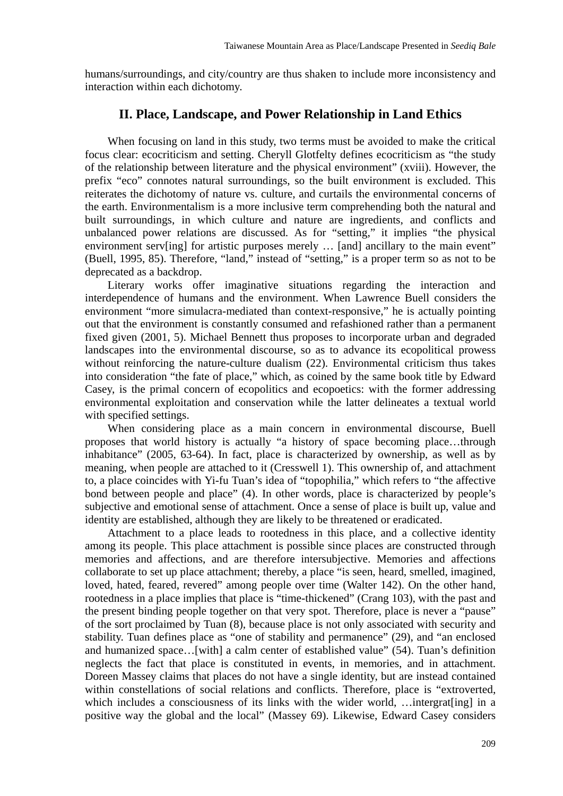humans/surroundings, and city/country are thus shaken to include more inconsistency and interaction within each dichotomy.

### **II. Place, Landscape, and Power Relationship in Land Ethics**

 When focusing on land in this study, two terms must be avoided to make the critical focus clear: ecocriticism and setting. Cheryll Glotfelty defines ecocriticism as "the study of the relationship between literature and the physical environment" (xviii). However, the prefix "eco" connotes natural surroundings, so the built environment is excluded. This reiterates the dichotomy of nature vs. culture, and curtails the environmental concerns of the earth. Environmentalism is a more inclusive term comprehending both the natural and built surroundings, in which culture and nature are ingredients, and conflicts and unbalanced power relations are discussed. As for "setting," it implies "the physical environment serv[ing] for artistic purposes merely ... [and] ancillary to the main event" (Buell, 1995, 85). Therefore, "land," instead of "setting," is a proper term so as not to be deprecated as a backdrop.

 Literary works offer imaginative situations regarding the interaction and interdependence of humans and the environment. When Lawrence Buell considers the environment "more simulacra-mediated than context-responsive," he is actually pointing out that the environment is constantly consumed and refashioned rather than a permanent fixed given (2001, 5). Michael Bennett thus proposes to incorporate urban and degraded landscapes into the environmental discourse, so as to advance its ecopolitical prowess without reinforcing the nature-culture dualism (22). Environmental criticism thus takes into consideration "the fate of place," which, as coined by the same book title by Edward Casey, is the primal concern of ecopolitics and ecopoetics: with the former addressing environmental exploitation and conservation while the latter delineates a textual world with specified settings.

 When considering place as a main concern in environmental discourse, Buell proposes that world history is actually "a history of space becoming place…through inhabitance" (2005, 63-64). In fact, place is characterized by ownership, as well as by meaning, when people are attached to it (Cresswell 1). This ownership of, and attachment to, a place coincides with Yi-fu Tuan's idea of "topophilia," which refers to "the affective bond between people and place" (4). In other words, place is characterized by people's subjective and emotional sense of attachment. Once a sense of place is built up, value and identity are established, although they are likely to be threatened or eradicated.

 Attachment to a place leads to rootedness in this place, and a collective identity among its people. This place attachment is possible since places are constructed through memories and affections, and are therefore intersubjective. Memories and affections collaborate to set up place attachment; thereby, a place "is seen, heard, smelled, imagined, loved, hated, feared, revered" among people over time (Walter 142). On the other hand, rootedness in a place implies that place is "time-thickened" (Crang 103), with the past and the present binding people together on that very spot. Therefore, place is never a "pause" of the sort proclaimed by Tuan (8), because place is not only associated with security and stability. Tuan defines place as "one of stability and permanence" (29), and "an enclosed and humanized space…[with] a calm center of established value" (54). Tuan's definition neglects the fact that place is constituted in events, in memories, and in attachment. Doreen Massey claims that places do not have a single identity, but are instead contained within constellations of social relations and conflicts. Therefore, place is "extroverted, which includes a consciousness of its links with the wider world, …intergrat[ing] in a positive way the global and the local" (Massey 69). Likewise, Edward Casey considers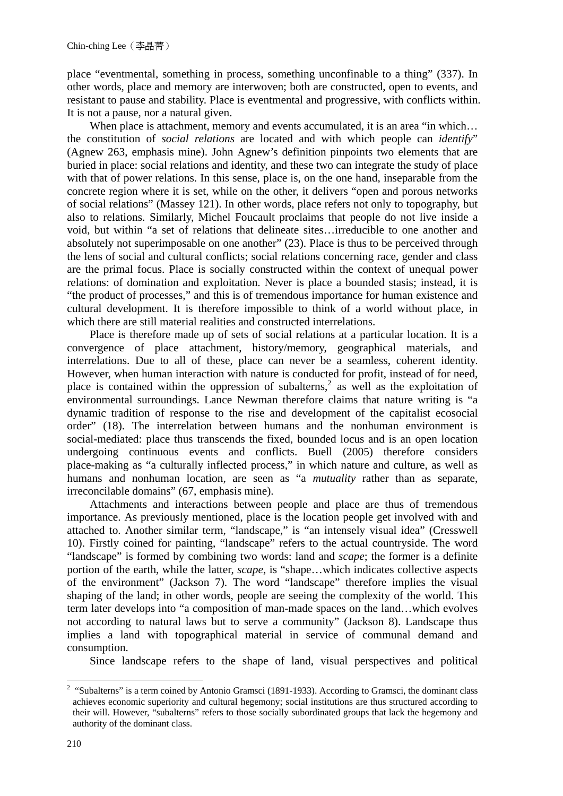place "eventmental, something in process, something unconfinable to a thing" (337). In other words, place and memory are interwoven; both are constructed, open to events, and resistant to pause and stability. Place is eventmental and progressive, with conflicts within. It is not a pause, nor a natural given.

When place is attachment, memory and events accumulated, it is an area "in which... the constitution of *social relations* are located and with which people can *identify*" (Agnew 263, emphasis mine). John Agnew's definition pinpoints two elements that are buried in place: social relations and identity, and these two can integrate the study of place with that of power relations. In this sense, place is, on the one hand, inseparable from the concrete region where it is set, while on the other, it delivers "open and porous networks of social relations" (Massey 121). In other words, place refers not only to topography, but also to relations. Similarly, Michel Foucault proclaims that people do not live inside a void, but within "a set of relations that delineate sites…irreducible to one another and absolutely not superimposable on one another" (23). Place is thus to be perceived through the lens of social and cultural conflicts; social relations concerning race, gender and class are the primal focus. Place is socially constructed within the context of unequal power relations: of domination and exploitation. Never is place a bounded stasis; instead, it is "the product of processes," and this is of tremendous importance for human existence and cultural development. It is therefore impossible to think of a world without place, in which there are still material realities and constructed interrelations.

 Place is therefore made up of sets of social relations at a particular location. It is a convergence of place attachment, history/memory, geographical materials, and interrelations. Due to all of these, place can never be a seamless, coherent identity. However, when human interaction with nature is conducted for profit, instead of for need, place is contained within the oppression of subalterns,<sup>2</sup> as well as the exploitation of environmental surroundings. Lance Newman therefore claims that nature writing is "a dynamic tradition of response to the rise and development of the capitalist ecosocial order" (18). The interrelation between humans and the nonhuman environment is social-mediated: place thus transcends the fixed, bounded locus and is an open location undergoing continuous events and conflicts. Buell (2005) therefore considers place-making as "a culturally inflected process," in which nature and culture, as well as humans and nonhuman location, are seen as "a *mutuality* rather than as separate, irreconcilable domains" (67, emphasis mine).

 Attachments and interactions between people and place are thus of tremendous importance. As previously mentioned, place is the location people get involved with and attached to. Another similar term, "landscape," is "an intensely visual idea" (Cresswell 10). Firstly coined for painting, "landscape" refers to the actual countryside. The word "landscape" is formed by combining two words: land and *scape*; the former is a definite portion of the earth, while the latter, *scape*, is "shape…which indicates collective aspects of the environment" (Jackson 7). The word "landscape" therefore implies the visual shaping of the land; in other words, people are seeing the complexity of the world. This term later develops into "a composition of man-made spaces on the land…which evolves not according to natural laws but to serve a community" (Jackson 8). Landscape thus implies a land with topographical material in service of communal demand and consumption.

Since landscape refers to the shape of land, visual perspectives and political

<sup>&</sup>lt;sup>2</sup> "Subalterns" is a term coined by Antonio Gramsci (1891-1933). According to Gramsci, the dominant class achieves economic superiority and cultural hegemony; social institutions are thus structured according to their will. However, "subalterns" refers to those socially subordinated groups that lack the hegemony and authority of the dominant class.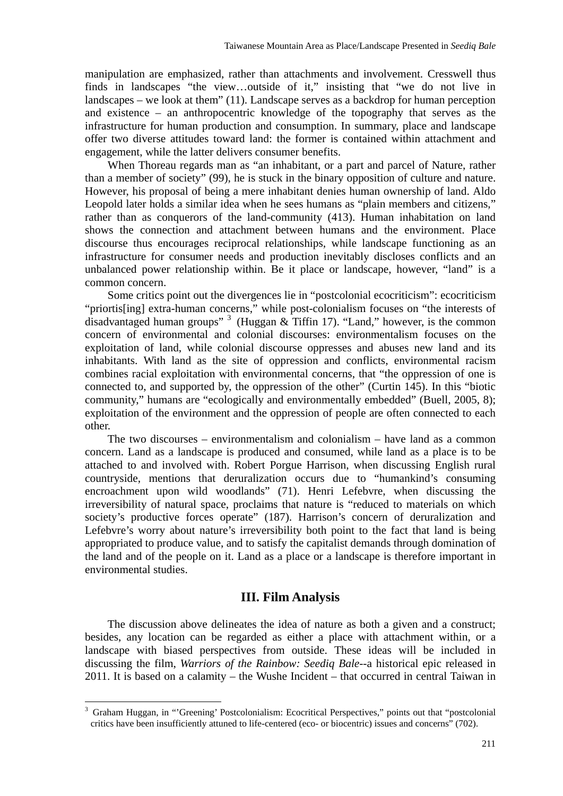manipulation are emphasized, rather than attachments and involvement. Cresswell thus finds in landscapes "the view…outside of it," insisting that "we do not live in landscapes – we look at them" (11). Landscape serves as a backdrop for human perception and existence – an anthropocentric knowledge of the topography that serves as the infrastructure for human production and consumption. In summary, place and landscape offer two diverse attitudes toward land: the former is contained within attachment and engagement, while the latter delivers consumer benefits.

 When Thoreau regards man as "an inhabitant, or a part and parcel of Nature, rather than a member of society" (99), he is stuck in the binary opposition of culture and nature. However, his proposal of being a mere inhabitant denies human ownership of land. Aldo Leopold later holds a similar idea when he sees humans as "plain members and citizens," rather than as conquerors of the land-community (413). Human inhabitation on land shows the connection and attachment between humans and the environment. Place discourse thus encourages reciprocal relationships, while landscape functioning as an infrastructure for consumer needs and production inevitably discloses conflicts and an unbalanced power relationship within. Be it place or landscape, however, "land" is a common concern.

 Some critics point out the divergences lie in "postcolonial ecocriticism": ecocriticism "priortis[ing] extra-human concerns," while post-colonialism focuses on "the interests of disadvantaged human groups"  $3$  (Huggan & Tiffin 17). "Land," however, is the common concern of environmental and colonial discourses: environmentalism focuses on the exploitation of land, while colonial discourse oppresses and abuses new land and its inhabitants. With land as the site of oppression and conflicts, environmental racism combines racial exploitation with environmental concerns, that "the oppression of one is connected to, and supported by, the oppression of the other" (Curtin 145). In this "biotic community," humans are "ecologically and environmentally embedded" (Buell, 2005, 8); exploitation of the environment and the oppression of people are often connected to each other.

 The two discourses – environmentalism and colonialism – have land as a common concern. Land as a landscape is produced and consumed, while land as a place is to be attached to and involved with. Robert Porgue Harrison, when discussing English rural countryside, mentions that deruralization occurs due to "humankind's consuming encroachment upon wild woodlands" (71). Henri Lefebvre, when discussing the irreversibility of natural space, proclaims that nature is "reduced to materials on which society's productive forces operate" (187). Harrison's concern of deruralization and Lefebvre's worry about nature's irreversibility both point to the fact that land is being appropriated to produce value, and to satisfy the capitalist demands through domination of the land and of the people on it. Land as a place or a landscape is therefore important in environmental studies.

#### **III. Film Analysis**

The discussion above delineates the idea of nature as both a given and a construct; besides, any location can be regarded as either a place with attachment within, or a landscape with biased perspectives from outside. These ideas will be included in discussing the film, *Warriors of the Rainbow: Seediq Bale*--a historical epic released in 2011. It is based on a calamity – the Wushe Incident – that occurred in central Taiwan in

 $\overline{a}$ 

<sup>&</sup>lt;sup>3</sup> Graham Huggan, in "'Greening' Postcolonialism: Ecocritical Perspectives," points out that "postcolonial critics have been insufficiently attuned to life-centered (eco- or biocentric) issues and concerns" (702).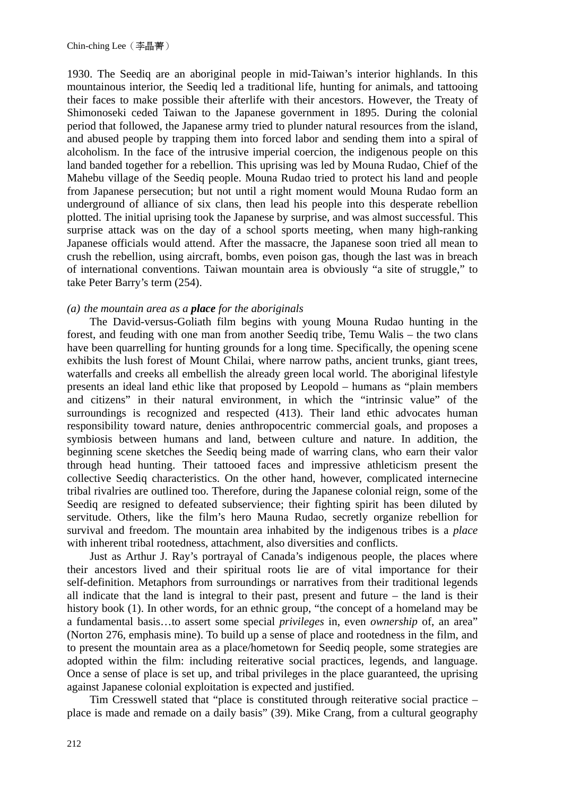1930. The Seediq are an aboriginal people in mid-Taiwan's interior highlands. In this mountainous interior, the Seediq led a traditional life, hunting for animals, and tattooing their faces to make possible their afterlife with their ancestors. However, the Treaty of Shimonoseki ceded Taiwan to the Japanese government in 1895. During the colonial period that followed, the Japanese army tried to plunder natural resources from the island, and abused people by trapping them into forced labor and sending them into a spiral of alcoholism. In the face of the intrusive imperial coercion, the indigenous people on this land banded together for a rebellion. This uprising was led by Mouna Rudao, Chief of the Mahebu village of the Seediq people. Mouna Rudao tried to protect his land and people from Japanese persecution; but not until a right moment would Mouna Rudao form an underground of alliance of six clans, then lead his people into this desperate rebellion plotted. The initial uprising took the Japanese by surprise, and was almost successful. This surprise attack was on the day of a school sports meeting, when many high-ranking Japanese officials would attend. After the massacre, the Japanese soon tried all mean to crush the rebellion, using aircraft, bombs, even poison gas, though the last was in breach of international conventions. Taiwan mountain area is obviously "a site of struggle," to take Peter Barry's term (254).

#### *(a) the mountain area as a place for the aboriginals*

 The David-versus-Goliath film begins with young Mouna Rudao hunting in the forest, and feuding with one man from another Seediq tribe, Temu Walis – the two clans have been quarrelling for hunting grounds for a long time. Specifically, the opening scene exhibits the lush forest of Mount Chilai, where narrow paths, ancient trunks, giant trees, waterfalls and creeks all embellish the already green local world. The aboriginal lifestyle presents an ideal land ethic like that proposed by Leopold – humans as "plain members and citizens" in their natural environment, in which the "intrinsic value" of the surroundings is recognized and respected (413). Their land ethic advocates human responsibility toward nature, denies anthropocentric commercial goals, and proposes a symbiosis between humans and land, between culture and nature. In addition, the beginning scene sketches the Seediq being made of warring clans, who earn their valor through head hunting. Their tattooed faces and impressive athleticism present the collective Seediq characteristics. On the other hand, however, complicated internecine tribal rivalries are outlined too. Therefore, during the Japanese colonial reign, some of the Seediq are resigned to defeated subservience; their fighting spirit has been diluted by servitude. Others, like the film's hero Mauna Rudao, secretly organize rebellion for survival and freedom. The mountain area inhabited by the indigenous tribes is a *place* with inherent tribal rootedness, attachment, also diversities and conflicts.

 Just as Arthur J. Ray's portrayal of Canada's indigenous people, the places where their ancestors lived and their spiritual roots lie are of vital importance for their self-definition. Metaphors from surroundings or narratives from their traditional legends all indicate that the land is integral to their past, present and future – the land is their history book (1). In other words, for an ethnic group, "the concept of a homeland may be a fundamental basis…to assert some special *privileges* in, even *ownership* of, an area" (Norton 276, emphasis mine). To build up a sense of place and rootedness in the film, and to present the mountain area as a place/hometown for Seediq people, some strategies are adopted within the film: including reiterative social practices, legends, and language. Once a sense of place is set up, and tribal privileges in the place guaranteed, the uprising against Japanese colonial exploitation is expected and justified.

 Tim Cresswell stated that "place is constituted through reiterative social practice – place is made and remade on a daily basis" (39). Mike Crang, from a cultural geography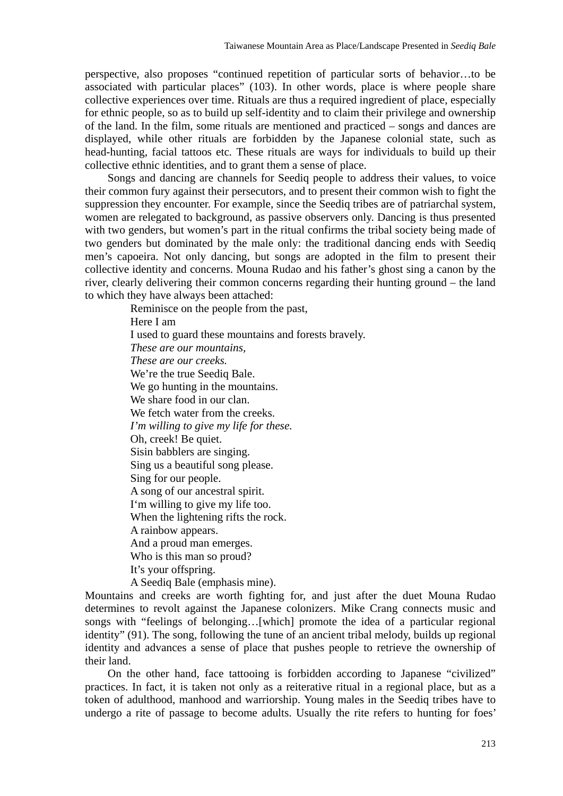perspective, also proposes "continued repetition of particular sorts of behavior…to be associated with particular places" (103). In other words, place is where people share collective experiences over time. Rituals are thus a required ingredient of place, especially for ethnic people, so as to build up self-identity and to claim their privilege and ownership of the land. In the film, some rituals are mentioned and practiced – songs and dances are displayed, while other rituals are forbidden by the Japanese colonial state, such as head-hunting, facial tattoos etc*.* These rituals are ways for individuals to build up their collective ethnic identities, and to grant them a sense of place.

 Songs and dancing are channels for Seediq people to address their values, to voice their common fury against their persecutors, and to present their common wish to fight the suppression they encounter. For example, since the Seediq tribes are of patriarchal system, women are relegated to background, as passive observers only. Dancing is thus presented with two genders, but women's part in the ritual confirms the tribal society being made of two genders but dominated by the male only: the traditional dancing ends with Seediq men's capoeira. Not only dancing, but songs are adopted in the film to present their collective identity and concerns. Mouna Rudao and his father's ghost sing a canon by the river, clearly delivering their common concerns regarding their hunting ground – the land to which they have always been attached:

> Reminisce on the people from the past, Here I am I used to guard these mountains and forests bravely. *These are our mountains, These are our creeks.*  We're the true Seediq Bale. We go hunting in the mountains. We share food in our clan. We fetch water from the creeks. *I'm willing to give my life for these.*  Oh, creek! Be quiet. Sisin babblers are singing. Sing us a beautiful song please. Sing for our people. A song of our ancestral spirit. I'm willing to give my life too. When the lightening rifts the rock. A rainbow appears. And a proud man emerges. Who is this man so proud? It's your offspring. A Seediq Bale (emphasis mine).

Mountains and creeks are worth fighting for, and just after the duet Mouna Rudao determines to revolt against the Japanese colonizers. Mike Crang connects music and songs with "feelings of belonging…[which] promote the idea of a particular regional identity" (91). The song, following the tune of an ancient tribal melody, builds up regional identity and advances a sense of place that pushes people to retrieve the ownership of their land.

 On the other hand, face tattooing is forbidden according to Japanese "civilized" practices. In fact, it is taken not only as a reiterative ritual in a regional place, but as a token of adulthood, manhood and warriorship. Young males in the Seediq tribes have to undergo a rite of passage to become adults. Usually the rite refers to hunting for foes'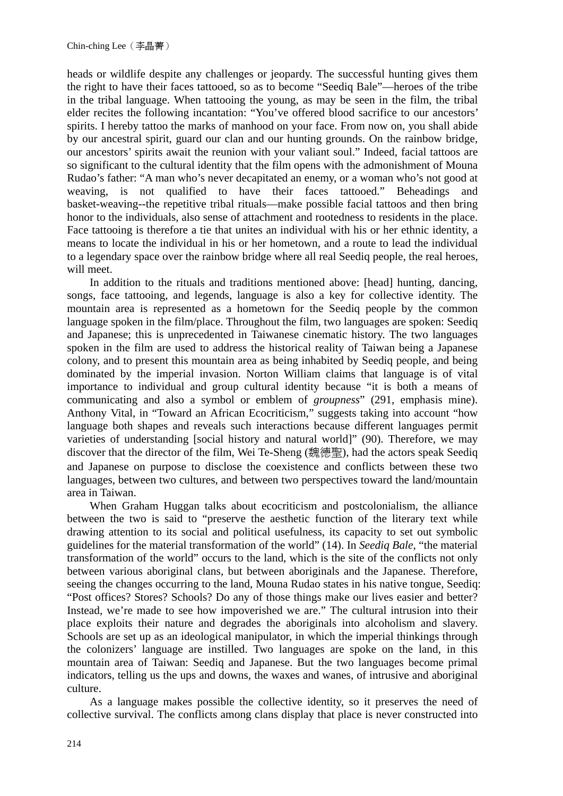heads or wildlife despite any challenges or jeopardy. The successful hunting gives them the right to have their faces tattooed, so as to become "Seediq Bale"—heroes of the tribe in the tribal language. When tattooing the young, as may be seen in the film, the tribal elder recites the following incantation: "You've offered blood sacrifice to our ancestors' spirits. I hereby tattoo the marks of manhood on your face. From now on, you shall abide by our ancestral spirit, guard our clan and our hunting grounds. On the rainbow bridge, our ancestors' spirits await the reunion with your valiant soul." Indeed, facial tattoos are so significant to the cultural identity that the film opens with the admonishment of Mouna Rudao's father: "A man who's never decapitated an enemy, or a woman who's not good at weaving, is not qualified to have their faces tattooed." Beheadings and basket-weaving--the repetitive tribal rituals—make possible facial tattoos and then bring honor to the individuals, also sense of attachment and rootedness to residents in the place. Face tattooing is therefore a tie that unites an individual with his or her ethnic identity, a means to locate the individual in his or her hometown, and a route to lead the individual to a legendary space over the rainbow bridge where all real Seediq people, the real heroes, will meet.

 In addition to the rituals and traditions mentioned above: [head] hunting, dancing, songs, face tattooing, and legends, language is also a key for collective identity. The mountain area is represented as a hometown for the Seediq people by the common language spoken in the film/place. Throughout the film, two languages are spoken: Seediq and Japanese; this is unprecedented in Taiwanese cinematic history. The two languages spoken in the film are used to address the historical reality of Taiwan being a Japanese colony, and to present this mountain area as being inhabited by Seediq people, and being dominated by the imperial invasion. Norton William claims that language is of vital importance to individual and group cultural identity because "it is both a means of communicating and also a symbol or emblem of *groupness*" (291, emphasis mine). Anthony Vital, in "Toward an African Ecocriticism," suggests taking into account "how language both shapes and reveals such interactions because different languages permit varieties of understanding [social history and natural world]" (90). Therefore, we may discover that the director of the film, Wei Te-Sheng (魏德聖), had the actors speak Seediq and Japanese on purpose to disclose the coexistence and conflicts between these two languages, between two cultures, and between two perspectives toward the land/mountain area in Taiwan.

 When Graham Huggan talks about ecocriticism and postcolonialism, the alliance between the two is said to "preserve the aesthetic function of the literary text while drawing attention to its social and political usefulness, its capacity to set out symbolic guidelines for the material transformation of the world" (14). In *Seediq Bale*, "the material transformation of the world" occurs to the land, which is the site of the conflicts not only between various aboriginal clans, but between aboriginals and the Japanese. Therefore, seeing the changes occurring to the land, Mouna Rudao states in his native tongue, Seediq: "Post offices? Stores? Schools? Do any of those things make our lives easier and better? Instead, we're made to see how impoverished we are." The cultural intrusion into their place exploits their nature and degrades the aboriginals into alcoholism and slavery. Schools are set up as an ideological manipulator, in which the imperial thinkings through the colonizers' language are instilled. Two languages are spoke on the land, in this mountain area of Taiwan: Seediq and Japanese. But the two languages become primal indicators, telling us the ups and downs, the waxes and wanes, of intrusive and aboriginal culture.

 As a language makes possible the collective identity, so it preserves the need of collective survival. The conflicts among clans display that place is never constructed into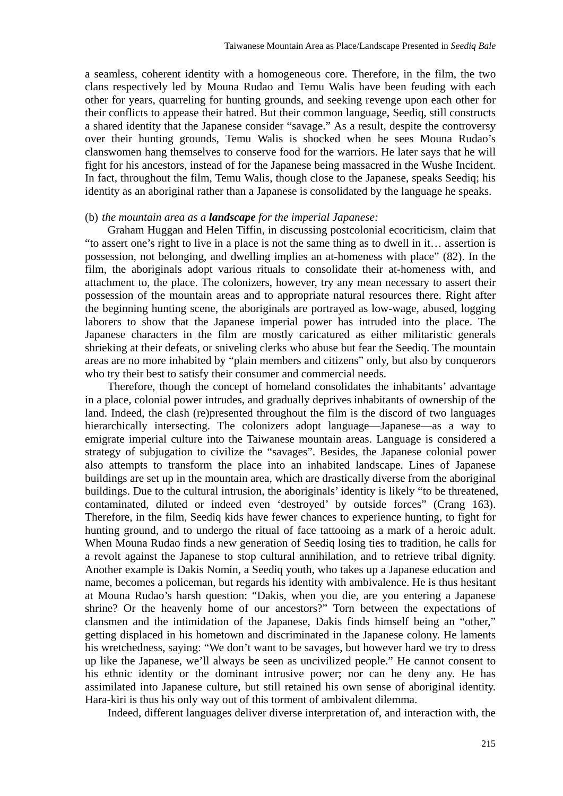a seamless, coherent identity with a homogeneous core. Therefore, in the film, the two clans respectively led by Mouna Rudao and Temu Walis have been feuding with each other for years, quarreling for hunting grounds, and seeking revenge upon each other for their conflicts to appease their hatred. But their common language, Seediq, still constructs a shared identity that the Japanese consider "savage." As a result, despite the controversy over their hunting grounds, Temu Walis is shocked when he sees Mouna Rudao's clanswomen hang themselves to conserve food for the warriors. He later says that he will fight for his ancestors, instead of for the Japanese being massacred in the Wushe Incident. In fact, throughout the film, Temu Walis, though close to the Japanese, speaks Seediq; his identity as an aboriginal rather than a Japanese is consolidated by the language he speaks.

#### (b) *the mountain area as a landscape for the imperial Japanese:*

 Graham Huggan and Helen Tiffin, in discussing postcolonial ecocriticism, claim that "to assert one's right to live in a place is not the same thing as to dwell in it… assertion is possession, not belonging, and dwelling implies an at-homeness with place" (82). In the film, the aboriginals adopt various rituals to consolidate their at-homeness with, and attachment to, the place. The colonizers, however, try any mean necessary to assert their possession of the mountain areas and to appropriate natural resources there. Right after the beginning hunting scene, the aboriginals are portrayed as low-wage, abused, logging laborers to show that the Japanese imperial power has intruded into the place. The Japanese characters in the film are mostly caricatured as either militaristic generals shrieking at their defeats, or sniveling clerks who abuse but fear the Seediq. The mountain areas are no more inhabited by "plain members and citizens" only, but also by conquerors who try their best to satisfy their consumer and commercial needs.

 Therefore, though the concept of homeland consolidates the inhabitants' advantage in a place, colonial power intrudes, and gradually deprives inhabitants of ownership of the land. Indeed, the clash (re)presented throughout the film is the discord of two languages hierarchically intersecting. The colonizers adopt language—Japanese—as a way to emigrate imperial culture into the Taiwanese mountain areas. Language is considered a strategy of subjugation to civilize the "savages". Besides, the Japanese colonial power also attempts to transform the place into an inhabited landscape. Lines of Japanese buildings are set up in the mountain area, which are drastically diverse from the aboriginal buildings. Due to the cultural intrusion, the aboriginals' identity is likely "to be threatened, contaminated, diluted or indeed even 'destroyed' by outside forces" (Crang 163). Therefore, in the film, Seediq kids have fewer chances to experience hunting, to fight for hunting ground, and to undergo the ritual of face tattooing as a mark of a heroic adult. When Mouna Rudao finds a new generation of Seediq losing ties to tradition, he calls for a revolt against the Japanese to stop cultural annihilation, and to retrieve tribal dignity. Another example is Dakis Nomin, a Seediq youth, who takes up a Japanese education and name, becomes a policeman, but regards his identity with ambivalence. He is thus hesitant at Mouna Rudao's harsh question: "Dakis, when you die, are you entering a Japanese shrine? Or the heavenly home of our ancestors?" Torn between the expectations of clansmen and the intimidation of the Japanese, Dakis finds himself being an "other," getting displaced in his hometown and discriminated in the Japanese colony. He laments his wretchedness, saying: "We don't want to be savages, but however hard we try to dress up like the Japanese, we'll always be seen as uncivilized people." He cannot consent to his ethnic identity or the dominant intrusive power; nor can he deny any. He has assimilated into Japanese culture, but still retained his own sense of aboriginal identity. Hara-kiri is thus his only way out of this torment of ambivalent dilemma.

Indeed, different languages deliver diverse interpretation of, and interaction with, the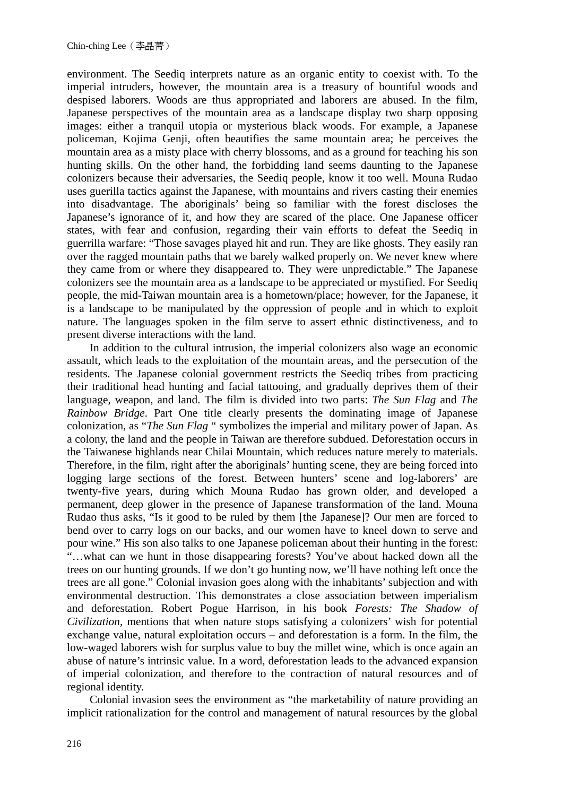environment. The Seediq interprets nature as an organic entity to coexist with. To the imperial intruders, however, the mountain area is a treasury of bountiful woods and despised laborers. Woods are thus appropriated and laborers are abused. In the film, Japanese perspectives of the mountain area as a landscape display two sharp opposing images: either a tranquil utopia or mysterious black woods. For example, a Japanese policeman, Kojima Genji, often beautifies the same mountain area; he perceives the mountain area as a misty place with cherry blossoms, and as a ground for teaching his son hunting skills. On the other hand, the forbidding land seems daunting to the Japanese colonizers because their adversaries, the Seediq people, know it too well. Mouna Rudao uses guerilla tactics against the Japanese, with mountains and rivers casting their enemies into disadvantage. The aboriginals' being so familiar with the forest discloses the Japanese's ignorance of it, and how they are scared of the place. One Japanese officer states, with fear and confusion, regarding their vain efforts to defeat the Seediq in guerrilla warfare: "Those savages played hit and run. They are like ghosts. They easily ran over the ragged mountain paths that we barely walked properly on. We never knew where they came from or where they disappeared to. They were unpredictable." The Japanese colonizers see the mountain area as a landscape to be appreciated or mystified. For Seediq people, the mid-Taiwan mountain area is a hometown/place; however, for the Japanese, it is a landscape to be manipulated by the oppression of people and in which to exploit nature. The languages spoken in the film serve to assert ethnic distinctiveness, and to present diverse interactions with the land.

 In addition to the cultural intrusion, the imperial colonizers also wage an economic assault, which leads to the exploitation of the mountain areas, and the persecution of the residents. The Japanese colonial government restricts the Seediq tribes from practicing their traditional head hunting and facial tattooing, and gradually deprives them of their language, weapon, and land. The film is divided into two parts: *The Sun Flag* and *The Rainbow Bridge*. Part One title clearly presents the dominating image of Japanese colonization, as "*The Sun Flag* " symbolizes the imperial and military power of Japan. As a colony, the land and the people in Taiwan are therefore subdued. Deforestation occurs in the Taiwanese highlands near Chilai Mountain, which reduces nature merely to materials. Therefore, in the film, right after the aboriginals' hunting scene, they are being forced into logging large sections of the forest. Between hunters' scene and log-laborers' are twenty-five years, during which Mouna Rudao has grown older, and developed a permanent, deep glower in the presence of Japanese transformation of the land. Mouna Rudao thus asks, "Is it good to be ruled by them [the Japanese]? Our men are forced to bend over to carry logs on our backs, and our women have to kneel down to serve and pour wine." His son also talks to one Japanese policeman about their hunting in the forest: "…what can we hunt in those disappearing forests? You've about hacked down all the trees on our hunting grounds. If we don't go hunting now, we'll have nothing left once the trees are all gone." Colonial invasion goes along with the inhabitants' subjection and with environmental destruction. This demonstrates a close association between imperialism and deforestation. Robert Pogue Harrison, in his book *Forests: The Shadow of Civilization,* mentions that when nature stops satisfying a colonizers' wish for potential exchange value, natural exploitation occurs – and deforestation is a form. In the film, the low-waged laborers wish for surplus value to buy the millet wine, which is once again an abuse of nature's intrinsic value. In a word, deforestation leads to the advanced expansion of imperial colonization, and therefore to the contraction of natural resources and of regional identity.

 Colonial invasion sees the environment as "the marketability of nature providing an implicit rationalization for the control and management of natural resources by the global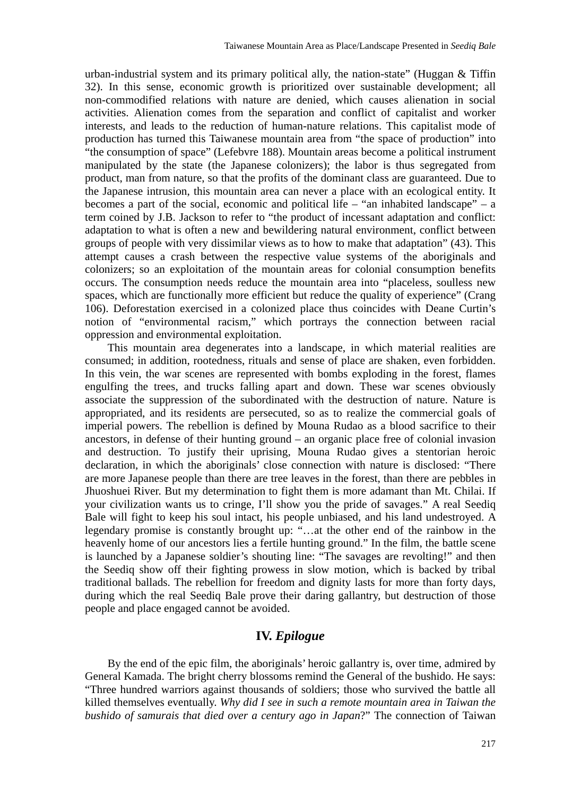urban-industrial system and its primary political ally, the nation-state" (Huggan & Tiffin 32). In this sense, economic growth is prioritized over sustainable development; all non-commodified relations with nature are denied, which causes alienation in social activities. Alienation comes from the separation and conflict of capitalist and worker interests, and leads to the reduction of human-nature relations. This capitalist mode of production has turned this Taiwanese mountain area from "the space of production" into "the consumption of space" (Lefebvre 188). Mountain areas become a political instrument manipulated by the state (the Japanese colonizers); the labor is thus segregated from product, man from nature, so that the profits of the dominant class are guaranteed. Due to the Japanese intrusion, this mountain area can never a place with an ecological entity. It becomes a part of the social, economic and political life – "an inhabited landscape" – a term coined by J.B. Jackson to refer to "the product of incessant adaptation and conflict: adaptation to what is often a new and bewildering natural environment, conflict between groups of people with very dissimilar views as to how to make that adaptation" (43). This attempt causes a crash between the respective value systems of the aboriginals and colonizers; so an exploitation of the mountain areas for colonial consumption benefits occurs. The consumption needs reduce the mountain area into "placeless, soulless new spaces, which are functionally more efficient but reduce the quality of experience" (Crang 106). Deforestation exercised in a colonized place thus coincides with Deane Curtin's notion of "environmental racism," which portrays the connection between racial oppression and environmental exploitation.

 This mountain area degenerates into a landscape, in which material realities are consumed; in addition, rootedness, rituals and sense of place are shaken, even forbidden. In this vein, the war scenes are represented with bombs exploding in the forest, flames engulfing the trees, and trucks falling apart and down. These war scenes obviously associate the suppression of the subordinated with the destruction of nature. Nature is appropriated, and its residents are persecuted, so as to realize the commercial goals of imperial powers. The rebellion is defined by Mouna Rudao as a blood sacrifice to their ancestors, in defense of their hunting ground – an organic place free of colonial invasion and destruction. To justify their uprising, Mouna Rudao gives a stentorian heroic declaration, in which the aboriginals' close connection with nature is disclosed: "There are more Japanese people than there are tree leaves in the forest, than there are pebbles in Jhuoshuei River. But my determination to fight them is more adamant than Mt. Chilai. If your civilization wants us to cringe, I'll show you the pride of savages." A real Seediq Bale will fight to keep his soul intact, his people unbiased, and his land undestroyed. A legendary promise is constantly brought up: "…at the other end of the rainbow in the heavenly home of our ancestors lies a fertile hunting ground." In the film, the battle scene is launched by a Japanese soldier's shouting line: "The savages are revolting!" and then the Seediq show off their fighting prowess in slow motion, which is backed by tribal traditional ballads. The rebellion for freedom and dignity lasts for more than forty days, during which the real Seediq Bale prove their daring gallantry, but destruction of those people and place engaged cannot be avoided.

## **IV.** *Epilogue*

 By the end of the epic film, the aboriginals' heroic gallantry is, over time, admired by General Kamada. The bright cherry blossoms remind the General of the bushido. He says: "Three hundred warriors against thousands of soldiers; those who survived the battle all killed themselves eventually. *Why did I see in such a remote mountain area in Taiwan the bushido of samurais that died over a century ago in Japan*?" The connection of Taiwan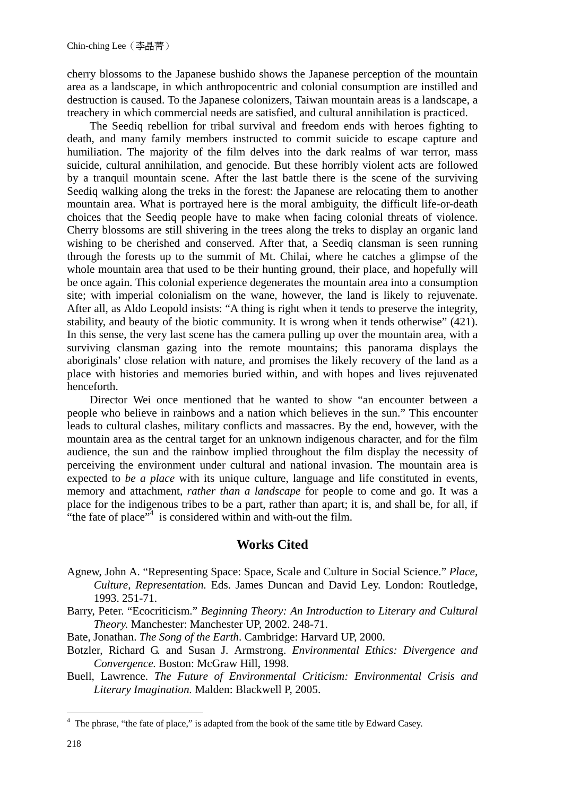cherry blossoms to the Japanese bushido shows the Japanese perception of the mountain area as a landscape, in which anthropocentric and colonial consumption are instilled and destruction is caused. To the Japanese colonizers, Taiwan mountain areas is a landscape, a treachery in which commercial needs are satisfied, and cultural annihilation is practiced.

 The Seediq rebellion for tribal survival and freedom ends with heroes fighting to death, and many family members instructed to commit suicide to escape capture and humiliation. The majority of the film delves into the dark realms of war terror, mass suicide, cultural annihilation, and genocide. But these horribly violent acts are followed by a tranquil mountain scene. After the last battle there is the scene of the surviving Seediq walking along the treks in the forest: the Japanese are relocating them to another mountain area. What is portrayed here is the moral ambiguity, the difficult life-or-death choices that the Seediq people have to make when facing colonial threats of violence. Cherry blossoms are still shivering in the trees along the treks to display an organic land wishing to be cherished and conserved. After that, a Seediq clansman is seen running through the forests up to the summit of Mt. Chilai, where he catches a glimpse of the whole mountain area that used to be their hunting ground, their place, and hopefully will be once again. This colonial experience degenerates the mountain area into a consumption site; with imperial colonialism on the wane, however, the land is likely to rejuvenate. After all, as Aldo Leopold insists: "A thing is right when it tends to preserve the integrity, stability, and beauty of the biotic community. It is wrong when it tends otherwise" (421). In this sense, the very last scene has the camera pulling up over the mountain area, with a surviving clansman gazing into the remote mountains; this panorama displays the aboriginals' close relation with nature, and promises the likely recovery of the land as a place with histories and memories buried within, and with hopes and lives rejuvenated henceforth.

 Director Wei once mentioned that he wanted to show "an encounter between a people who believe in rainbows and a nation which believes in the sun." This encounter leads to cultural clashes, military conflicts and massacres. By the end, however, with the mountain area as the central target for an unknown indigenous character, and for the film audience, the sun and the rainbow implied throughout the film display the necessity of perceiving the environment under cultural and national invasion. The mountain area is expected to *be a place* with its unique culture, language and life constituted in events, memory and attachment, *rather than a landscape* for people to come and go. It was a place for the indigenous tribes to be a part, rather than apart; it is, and shall be, for all, if "the fate of place"<sup>4</sup> is considered within and with-out the film.

## **Works Cited**

- Agnew, John A. "Representing Space: Space, Scale and Culture in Social Science." *Place, Culture, Representation.* Eds. James Duncan and David Ley. London: Routledge, 1993. 251-71.
- Barry, Peter. "Ecocriticism." *Beginning Theory: An Introduction to Literary and Cultural Theory.* Manchester: Manchester UP, 2002. 248-71.
- Bate, Jonathan. *The Song of the Earth*. Cambridge: Harvard UP, 2000.
- Botzler, Richard G. and Susan J. Armstrong. *Environmental Ethics: Divergence and Convergence.* Boston: McGraw Hill, 1998.
- Buell, Lawrence. *The Future of Environmental Criticism: Environmental Crisis and Literary Imagination.* Malden: Blackwell P, 2005.

1

<sup>&</sup>lt;sup>4</sup> The phrase, "the fate of place," is adapted from the book of the same title by Edward Casey.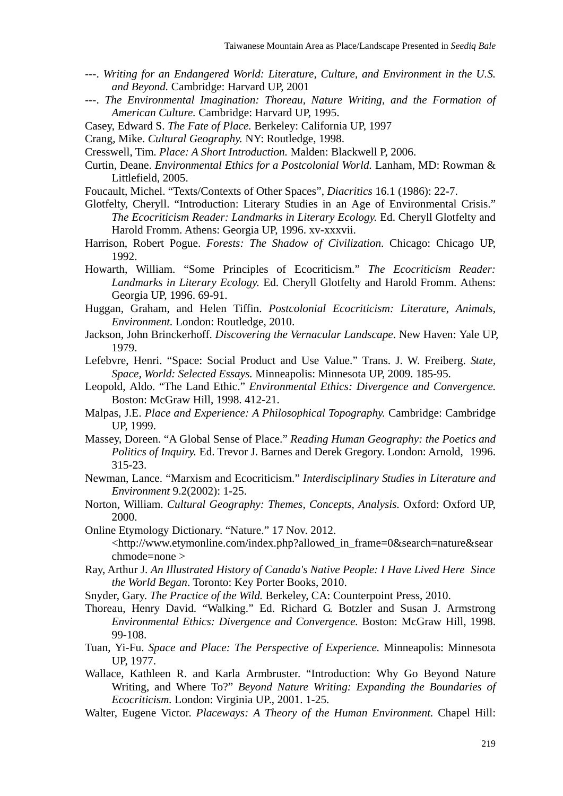- ---. *Writing for an Endangered World: Literature, Culture, and Environment in the U.S. and Beyond.* Cambridge: Harvard UP, 2001
- ---. *The Environmental Imagination: Thoreau, Nature Writing, and the Formation of American Culture.* Cambridge: Harvard UP, 1995.
- Casey, Edward S. *The Fate of Place.* Berkeley: California UP, 1997
- Crang, Mike. *Cultural Geography.* NY: Routledge, 1998.

Cresswell, Tim. *Place: A Short Introduction.* Malden: Blackwell P, 2006.

- Curtin, Deane. *Environmental Ethics for a Postcolonial World.* Lanham, MD: Rowman & Littlefield, 2005.
- Foucault, Michel. "Texts/Contexts of Other Spaces", *Diacritics* 16.1 (1986): 22-7.
- Glotfelty, Cheryll. "Introduction: Literary Studies in an Age of Environmental Crisis." *The Ecocriticism Reader: Landmarks in Literary Ecology.* Ed. Cheryll Glotfelty and Harold Fromm. Athens: Georgia UP, 1996. xv-xxxvii.
- Harrison, Robert Pogue. *Forests: The Shadow of Civilization*. Chicago: Chicago UP, 1992.
- Howarth, William. "Some Principles of Ecocriticism." *The Ecocriticism Reader: Landmarks in Literary Ecology.* Ed. Cheryll Glotfelty and Harold Fromm. Athens: Georgia UP, 1996. 69-91.
- Huggan, Graham, and Helen Tiffin. *Postcolonial Ecocriticism: Literature, Animals, Environment.* London: Routledge, 2010.
- Jackson, John Brinckerhoff. *Discovering the Vernacular Landscape*. New Haven: Yale UP, 1979.
- Lefebvre, Henri. "Space: Social Product and Use Value." Trans. J. W. Freiberg. *State, Space, World: Selected Essays.* Minneapolis: Minnesota UP, 2009. 185-95.
- Leopold, Aldo. "The Land Ethic." *Environmental Ethics: Divergence and Convergence.* Boston: McGraw Hill, 1998. 412-21.
- Malpas, J.E. *Place and Experience: A Philosophical Topography.* Cambridge: Cambridge UP, 1999.
- Massey, Doreen. "A Global Sense of Place." *Reading Human Geography: the Poetics and Politics of Inquiry.* Ed. Trevor J. Barnes and Derek Gregory. London: Arnold, 1996. 315-23.
- Newman, Lance. "Marxism and Ecocriticism." *Interdisciplinary Studies in Literature and Environment* 9.2(2002): 1-25.
- Norton, William. *Cultural Geography: Themes, Concepts, Analysis.* Oxford: Oxford UP, 2000.
- Online Etymology Dictionary. "Nature." 17 Nov. 2012. <http://www.etymonline.com/index.php?allowed\_in\_frame=0&search=nature&sear chmode=none >
- Ray, Arthur J. *An Illustrated History of Canada's Native People: I Have Lived Here Since the World Began*. Toronto: Key Porter Books, 2010.
- Snyder, Gary. *The Practice of the Wild.* Berkeley, CA: Counterpoint Press, 2010.
- Thoreau, Henry David. "Walking." Ed. Richard G. Botzler and Susan J. Armstrong *Environmental Ethics: Divergence and Convergence.* Boston: McGraw Hill, 1998. 99-108.
- Tuan, Yi-Fu. *Space and Place: The Perspective of Experience.* Minneapolis: Minnesota UP, 1977.
- Wallace, Kathleen R. and Karla Armbruster. "Introduction: Why Go Beyond Nature Writing, and Where To?" *Beyond Nature Writing: Expanding the Boundaries of Ecocriticism.* London: Virginia UP., 2001. 1-25.
- Walter, Eugene Victor. *Placeways: A Theory of the Human Environment.* Chapel Hill: